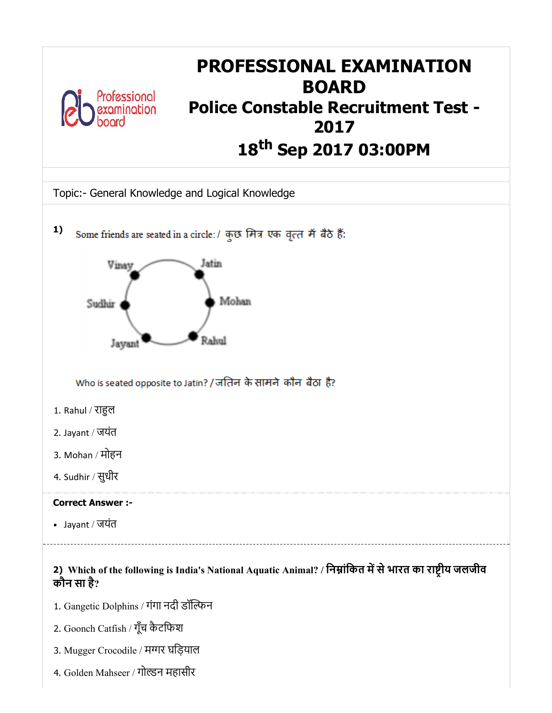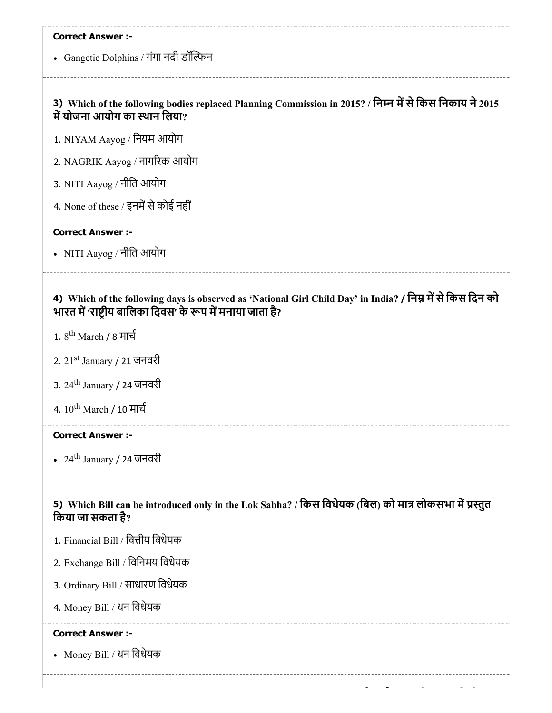Gangetic Dolphins / गंगा नदी डॉन

## 3) Which of the following bodies replaced Planning Commission in 2015? / निम्न में से किस निकाय ने 2015 में योजना आयोग का स्थान लिया?

1. NIYAM Aayog / िनयम आयोग

2. NAGRIK Aayog / नागरक आयोग

- 3. NITI Aayog / नीित आयोग
- 4. None of these / इनमें से कोई नहीं

#### Correct Answer :-

• NITI Aayog / नीति आयोग

## 4) Which of the following days is observed as 'National Girl Child Day' in India? / निम्न में से किस दिन को भारत में 'राष्ट्रीय बालिका दिवस' के रूप में मनाया जाता है?

- 1. 8<sup>th</sup> March / 8 मार्च
- 2. 21<sup>st</sup> January / 21 जनवरी
- 3. 24<sup>th</sup> January / 24 जनवरी
- 4.  $10^{\rm th}$  March / 10 मार्च

## Correct Answer :-

24<sup>th</sup> January / 24 जनवरी

## 5) Which Bill can be introduced only in the Lok Sabha? / किस विधेयक (बिल) को मात्र लोकसभा में प्रस्तुत िकया जा सकता है?

- 1. Financial Bill / वित्तीय विधेयक
- 2. Exchange Bill / िविनमय िवधेयक
- 3. Ordinary Bill / साधारण िवधेयक
- 4. Money Bill / धन िवधेयक

#### Correct Answer :-

• Money Bill / धन विधेयक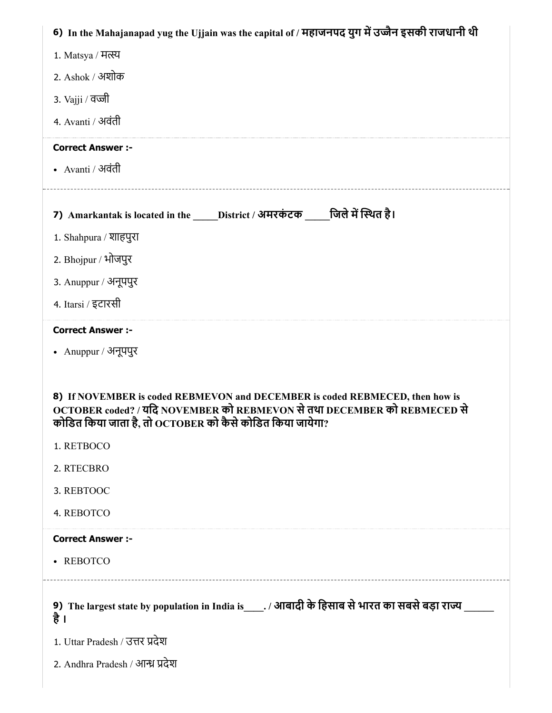| 6) In the Mahajanapad yug the Ujjain was the capital of / महाजनपद युग में उज्जैन इसकी राजधानी थी                                                                                                                                                                                  |
|-----------------------------------------------------------------------------------------------------------------------------------------------------------------------------------------------------------------------------------------------------------------------------------|
| 1. Matsya / मत्स्य                                                                                                                                                                                                                                                                |
| 2. Ashok / अशोक                                                                                                                                                                                                                                                                   |
| 3. Vajji / वज्जी                                                                                                                                                                                                                                                                  |
| 4. Avanti / अवंती                                                                                                                                                                                                                                                                 |
| <b>Correct Answer :-</b>                                                                                                                                                                                                                                                          |
| • Avanti / अवंती                                                                                                                                                                                                                                                                  |
|                                                                                                                                                                                                                                                                                   |
| 7) Amarkantak is located in the _____District / अमरकंटक _____जिले में स्थित है।                                                                                                                                                                                                   |
| 1. Shahpura / शाहपुरा                                                                                                                                                                                                                                                             |
| 2. Bhojpur / भोजपुर                                                                                                                                                                                                                                                               |
| 3. Anuppur / अनूपपुर                                                                                                                                                                                                                                                              |
| 4. Itarsi / इटारसी                                                                                                                                                                                                                                                                |
| <b>Correct Answer :-</b>                                                                                                                                                                                                                                                          |
| • Anuppur / अनूपपुर                                                                                                                                                                                                                                                               |
| 8) If NOVEMBER is coded REBMEVON and DECEMBER is coded REBMECED, then how is<br>OCTOBER coded? / यदि NOVEMBER को REBMEVON से तथा DECEMBER को REBMECED से<br>कोडित किया जाता है, तो $\mathrm{o}\mathrm{c}$ т $\mathrm{o}\mathrm{e}\mathrm{e}\mathrm{R}$ को कैसे कोडित किया जायेगा? |
| 1. RETBOCO                                                                                                                                                                                                                                                                        |
| 2. RTECBRO                                                                                                                                                                                                                                                                        |
| 3. REBTOOC                                                                                                                                                                                                                                                                        |
| 4. REBOTCO                                                                                                                                                                                                                                                                        |
| <b>Correct Answer :-</b>                                                                                                                                                                                                                                                          |
| • REBOTCO                                                                                                                                                                                                                                                                         |
| 9) The largest state by population in India is_____. / आबादी के हिसाब से भारत का सबसे बड़ा राज्य<br>है ।                                                                                                                                                                          |
| 1. Uttar Pradesh / उत्तर प्रदेश                                                                                                                                                                                                                                                   |
| 2. Andhra Pradesh / आन्ध्र प्रदेश                                                                                                                                                                                                                                                 |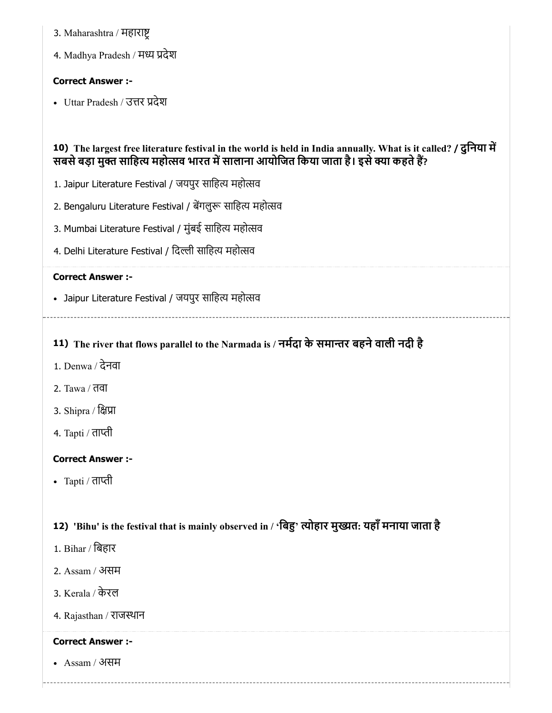- 3. Maharashtra / महारा
- 4. Madhya Pradesh / मध्य प्रदेश

• Uttar Pradesh / उत्तर प्रदेश

## 10) The largest free literature festival in the world is held in India annually. What is it called? / दुिनया म सबसे बड़ा मुक्त साहित्य महोत्सव भारत में सालाना आयोजित किया जाता है। इसे क्या कहते हैं?

- 1. Jaipur Literature Festival / जयपुर साहित्य महोत्सव
- 2. Bengaluru Literature Festival / बेंगलुरू साहित्य महोत्सव
- 3. Mumbai Literature Festival / मुंबई साहित्य महोत्सव
- 4. Delhi Literature Festival / दिल्ली साहित्य महोत्सव

## Correct Answer :-

• Jaipur Literature Festival / जयपुर साहित्य महोत्सव

## 11) The river that flows parallel to the Narmada is / नर्मेदा के समान्तर बहने वाली नदी है

- 1. Denwa / देनवा
- 2. Tawa / तवा
- 3. Shipra / क्षिप्रा
- 4. Tapti / ताप्ती

## Correct Answer :-

• Tapti / ताप्ती

## 12) 'Bihu' is the festival that is mainly observed in / 'बिंहु' त्योहार मुख्यत: यहाँ मनाया जाता है

- 1. Bihar / िबहार
- 2. Assam / असम
- 3. Kerala / केरल
- 4. Rajasthan / राजथान

## Correct Answer :-

Assam / असम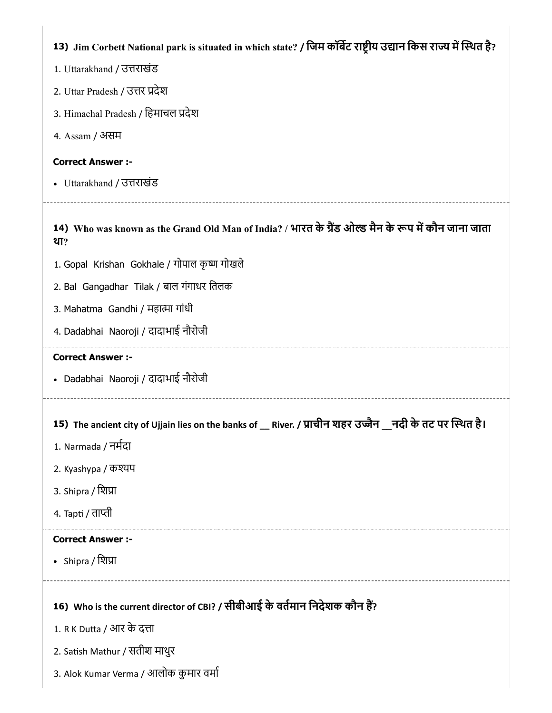| 13) Jim Corbett National park is situated in which state? / जिम कॉर्बेट राष्ट्रीय उद्यान किस राज्य में स्थित है? |
|------------------------------------------------------------------------------------------------------------------|
| 1. Uttarakhand / उत्तराखंड                                                                                       |
| 2. Uttar Pradesh / उत्तर प्रदेश                                                                                  |
| 3. Himachal Pradesh / हिमाचल प्रदेश                                                                              |
| 4. Assam / असम                                                                                                   |
| <b>Correct Answer :-</b>                                                                                         |
| • Uttarakhand / उत्तराखंड                                                                                        |
|                                                                                                                  |
| 14) Who was known as the Grand Old Man of India? / भारत के ग्रैंड ओल्ड मैन के रूप में कौन जाना जाता<br>था?       |
| 1. Gopal Krishan Gokhale / गोपाल कृष्ण गोखले                                                                     |
| 2. Bal Gangadhar Tilak / बाल गंगाधर तिलक                                                                         |
| 3. Mahatma Gandhi / महात्मा गांधी                                                                                |
| 4. Dadabhai Naoroji / दादाभाई नौरोजी                                                                             |
| <b>Correct Answer :-</b>                                                                                         |
| • Dadabhai Naoroji / दादाभाई नौरोजी                                                                              |
|                                                                                                                  |
| River. / प्राचीन शहर उज्जैन __नदी के तट पर स्थित है।<br>15) The ancient city of Ujjain lies on the banks of      |
| 1. Narmada / नर्मदा                                                                                              |
| 2. Kyashypa / কর্ম্যদ                                                                                            |
| 3. Shipra / शिप्रा                                                                                               |
| 4. Tapti / ताप्ती                                                                                                |
| <b>Correct Answer :-</b>                                                                                         |
| • Shipra / शिप्रा                                                                                                |
| 16) Who is the current director of CBI? / सीबीआई के वर्तमान निदेशक कौन हैं?                                      |
| 1. R K Dutta / आर के दत्ता                                                                                       |
| 2. Satish Mathur / सतीश माथुर                                                                                    |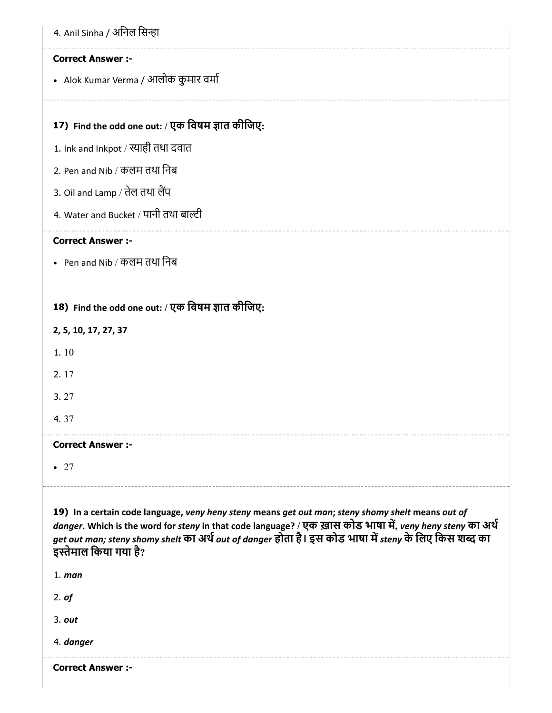|  | 4. Anil Sinha / अनिल सिन्हा |  |  |
|--|-----------------------------|--|--|
|  |                             |  |  |

Alok Kumar Verma / आलोक कुमार वमा

## 17) Find the odd one out: / एक विषम ज्ञात कीजिए:

- 1. Ink and Inkpot / स्याही तथा दवात
- 2. Pen and Nib / कलम तथा िनब
- 3. Oil and Lamp / तेल तथा लैंप
- 4. Water and Bucket / पानी तथा बाल्टी

#### Correct Answer :-

• Pen and Nib / कलम तथा निब

## 18) Find the odd one out: / एक विषम ज्ञात कीजिए:

- 2, 5, 10, 17, 27, 37
- 1. 10
- 2. 17
- 3. 27
- 4. 37

## Correct Answer :-

 $-27$ 

19) In a certain code language, veny heny steny means get out man; steny shomy shelt means out of danger. Which is the word for steny in that code language? / एक ख़ास कोड भाषा में, veny heny steny का अर्थ get out man; steny shomy shelt का अर्थ out of danger होता है। इस कोड भाषा में steny के लिए किस शब्द का इतेमाल िकया गया है?

1. man

2. of

3. out

4. danger

Correct Answer :-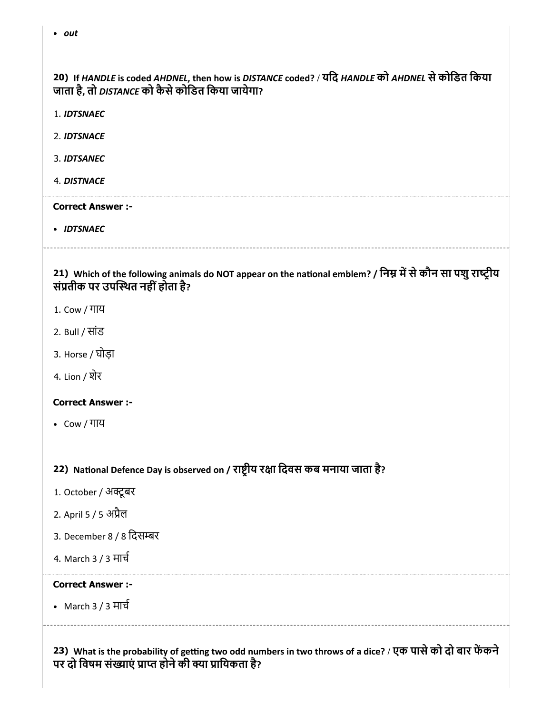20) If HANDLE is coded AHDNEL, then how is DISTANCE coded? / यिद HANDLE को AHDNEL सेकोिडत िकया जाता है, तो DISTANCE को कैसे कोडित किया जायेगा?

- 1. IDTSNAEC
- 2. IDTSNACE
- 3. IDTSANEC
- 4. DISTNACE

#### Correct Answer :-

• IDTSNAEC

21) Which of the following animals do NOT appear on the national emblem? / निम्न में से कौन सा पशु राष्ट्रीय संतीक पर उपथत नहींहोता है?

- 1. Cow / गाय
- 2. Bull / सांड
- 3. Horse / घोड़ा
- 4. Lion / शेर

### Correct Answer :-

Cow / गाय

22) National Defence Day is observed on / राष्ट्रीय रक्षा दिवस कब मनाया जाता है?

- 1. October / अक्टूबर
- 2. April 5 / 5 अैल
- 3. December 8 / 8 िदसर
- 4. March 3 / 3 माच

#### Correct Answer :-

• March 3 / 3 मार्च

23) What is the probability of getting two odd numbers in two throws of a dice? / एक पासे को दो बार फेंकने पर दो विषम संख्याएं प्राप्त होने की क्या प्रायिकता है?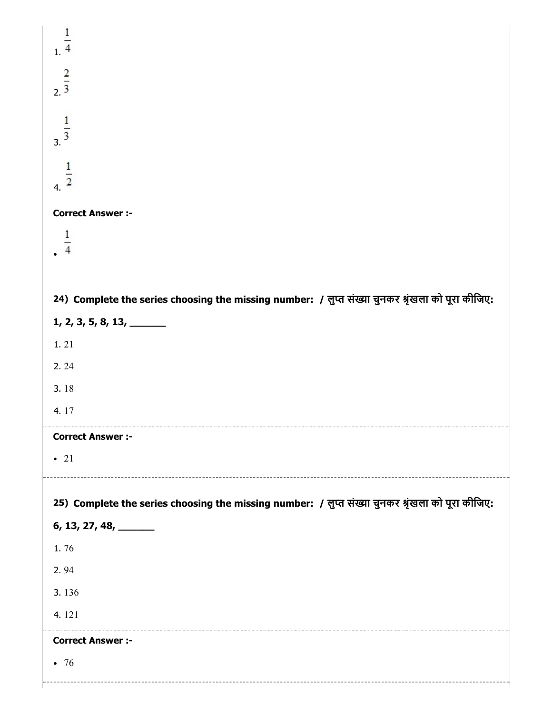| $\frac{1}{1}$                                                                                                              |
|----------------------------------------------------------------------------------------------------------------------------|
| $\frac{2}{2}$                                                                                                              |
| $\frac{1}{3}$                                                                                                              |
| $\frac{1}{4}$                                                                                                              |
| <b>Correct Answer :-</b>                                                                                                   |
| $\frac{1}{4}$                                                                                                              |
|                                                                                                                            |
| 24) Complete the series choosing the missing number: / लुप्त संख्या चुनकर श्रृंखला को पूरा कीजिए:                          |
| $1, 2, 3, 5, 8, 13, \underline{\hspace{2cm}}$                                                                              |
| 1.21                                                                                                                       |
| 2.24                                                                                                                       |
| 3.18                                                                                                                       |
| 4.17                                                                                                                       |
| <b>Correct Answer :-</b>                                                                                                   |
| $\bullet$ 21                                                                                                               |
|                                                                                                                            |
| 25) Complete the series choosing the missing number: / लुप्त संख्या चुनकर श्रृंखला को पूरा कीजिए:<br>$6, 13, 27, 48, \_\_$ |
| 1.76                                                                                                                       |
| 2.94                                                                                                                       |
| 3.136                                                                                                                      |
| 4.121                                                                                                                      |
| <b>Correct Answer :-</b>                                                                                                   |
| $\bullet$ 76                                                                                                               |
|                                                                                                                            |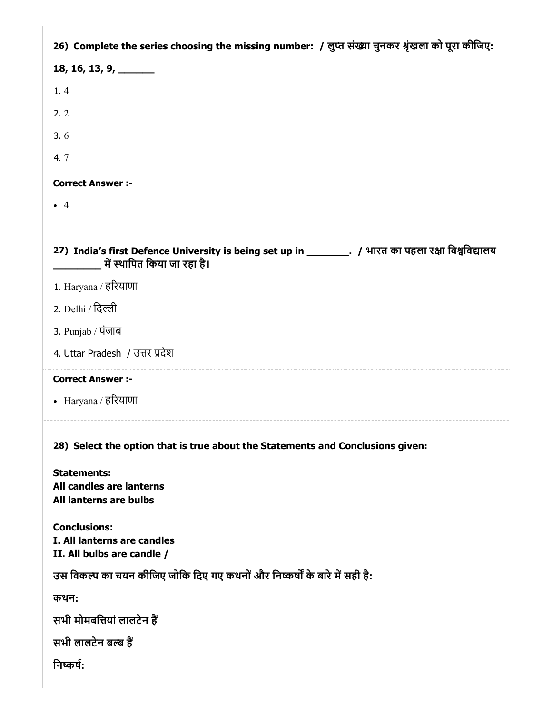| 26) Complete the series choosing the missing number: / लुप्त संख्या चुनकर श्रृंखला को पूरा कीजिए:                                     |
|---------------------------------------------------------------------------------------------------------------------------------------|
| 18, 16, 13, 9, $\_\_$                                                                                                                 |
| 1.4                                                                                                                                   |
| 2.2                                                                                                                                   |
| 3.6                                                                                                                                   |
| 4.7                                                                                                                                   |
| <b>Correct Answer :-</b>                                                                                                              |
| $\bullet$ 4                                                                                                                           |
|                                                                                                                                       |
| 27) India's first Defence University is being set up in __________. / भारत का पहला रक्षा विश्वविद्यालय<br>में स्थापित किया जा रहा है। |
| 1. Haryana / हरियाणा                                                                                                                  |
| 2. Delhi / दिल्ली                                                                                                                     |
| 3. Punjab / पंजाब                                                                                                                     |
| 4. Uttar Pradesh / उत्तर प्रदेश                                                                                                       |
|                                                                                                                                       |
| <b>Correct Answer :-</b>                                                                                                              |
| • Haryana / हरियाणा                                                                                                                   |
| 28) Select the option that is true about the Statements and Conclusions given:                                                        |
| <b>Statements:</b><br>All candles are lanterns<br>All lanterns are bulbs                                                              |
| <b>Conclusions:</b><br>I. All lanterns are candles<br>II. All bulbs are candle /                                                      |
| उस विकल्प का चयन कीजिए जोकि दिए गए कथनों और निष्कर्षों के बारे में सही है:                                                            |
| कथन:                                                                                                                                  |
| सभी मोमबत्तियां लालटेन हैं                                                                                                            |
| सभी लालटेन बल्ब हैं                                                                                                                   |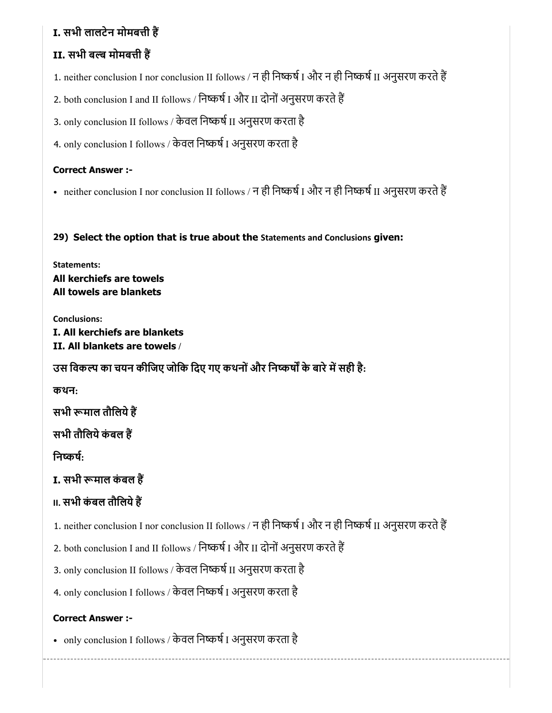# I. सभी लालटेन मोमबत्ती हैं

# II. सभी बल्ब मोमबत्ती हैं

1. neither conclusion I nor conclusion II follows / न ही निष्कर्ष I और न ही निष्कर्ष II अनुसरण करते हैं

2. both conclusion I and II follows / निष्कर्ष I और II दोनों अनुसरण करते हैं

3. only conclusion II follows / केवल निष्कर्ष II अनुसरण करता है

4. only conclusion I follows / केवल निष्कर्ष I अनुसरण करता है

## Correct Answer :-

• neither conclusion I nor conclusion II follows / न ही निष्कर्ष I और न ही निष्कर्ष II अनुसरण करते हैं

29) Select the option that is true about the Statements and Conclusions given:

Statements: All kerchiefs are towels All towels are blankets

Conclusions: I. All kerchiefs are blankets II. All blankets are towels /

उस विकल्प का चयन कीजिए जोकि दिए गए कथनों और निष्कर्षों के बारे में सही है:

कथन:

सभी रूमाल तौलिये हैं

सभी तौलिये कंबल हैं

निष्कर्षः

I. सभी रूमाल कंबल हैं

# **II. सभी कंबल तौलिये हैं**

1. neither conclusion I nor conclusion II follows / न ही निष्कर्ष I और न ही निष्कर्ष II अनुसरण करते हैं

2. both conclusion I and II follows / निष्कर्ष I और II दोनों अनुसरण करते हैं

3. only conclusion II follows / केवल निष्कर्ष II अनुसरण करता है

4. only conclusion I follows / केवल निष्कर्ष I अनुसरण करता है

## Correct Answer :-

• only conclusion I follows / केवल निष्कर्ष I अनुसरण करता है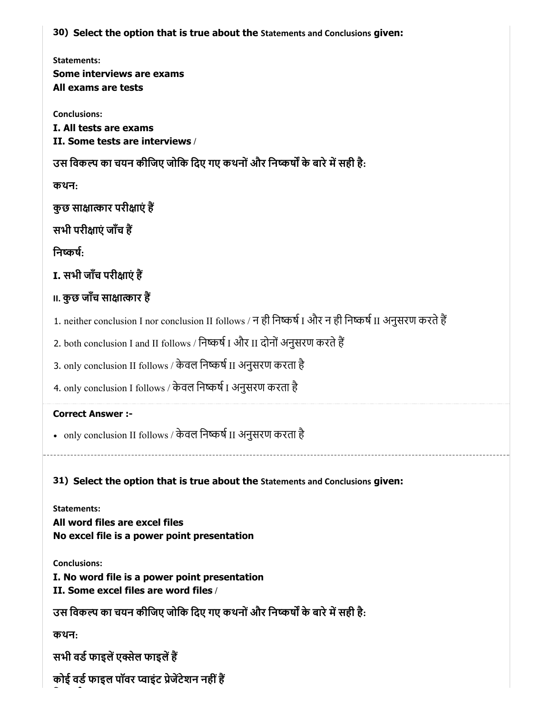30) Select the option that is true about the Statements and Conclusions given:

Statements: Some interviews are exams All exams are tests

Conclusions: I. All tests are exams II. Some tests are interviews /

उस विकल्प का चयन कीजिए जोकि दिए गए कथनों और निष्कर्षों के बारे में सही है:

कथन:

कुछ साक्षात्कार परीक्षाएं हैं

सभी परीक्षाएं जाँच हैं

निष्कर्षः

I. सभी जाँच परीक्षाएं हैं

# **II. कुछ जाँच साक्षात्कार हैं**

- 1. neither conclusion I nor conclusion II follows / न ही निष्कर्ष I और न ही निष्कर्ष II अनुसरण करते हैं
- 2. both conclusion I and II follows / निष्कर्ष I और II दोनों अनुसरण करते हैं
- 3. only conclusion II follows / केवल निष्कर्ष II अनुसरण करता है
- 4. only conclusion I follows / केवल निष्कर्ष I अनुसरण करता है

## Correct Answer :-

- only conclusion II follows / केवल निष्कर्ष II अनुसरण करता है
- 31) Select the option that is true about the Statements and Conclusions given:

Statements: All word files are excel files No excel file is a power point presentation

Conclusions:

I. No word file is a power point presentation

II. Some excel files are word files /

उस विकल्प का चयन कीजिए जोकि दिए गए कथनों और निष्कर्षों के बारे में सही है:

कथन:

सभी वर्ड फाइलें एक्सेल फाइलें हैं

कोई वर्ड फाइल पॉवर प्वाइंट प्रेजेंटेशन नहीं हैं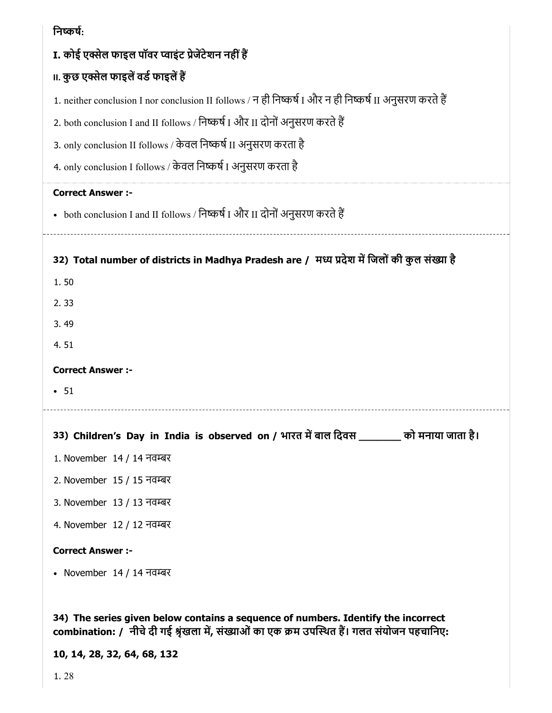| निष्कर्ष:                                                                                               |
|---------------------------------------------------------------------------------------------------------|
| I. कोई एक्सेल फाइल पॉवर प्वाइंट प्रेजेंटेशन नहीं हैं                                                    |
| ॥. कुछ एक्सेल फाइलें वर्ड फाइलें हैं                                                                    |
| 1. neither conclusion I nor conclusion II follows / न ही निष्कर्ष I और न ही निष्कर्ष II अनुसरण करते हैं |
| 2. both conclusion I and II follows / निष्कर्ष I और II दोनों अनुसरण करते हैं                            |
| 3. only conclusion II follows / केवल निष्कर्ष II अनुसरण करता है                                         |
| 4. only conclusion I follows / केवल निष्कर्ष I अनुसरण करता है                                           |
| <b>Correct Answer :-</b>                                                                                |
| • both conclusion I and II follows / निष्कर्ष I और II दोनों अनुसरण करते हैं                             |
|                                                                                                         |
| 32) Total number of districts in Madhya Pradesh are / मध्य प्रदेश में जिलों की कुल संख्या है            |
| 1.50                                                                                                    |
| 2.33                                                                                                    |
| 3.49                                                                                                    |
| 4.51                                                                                                    |
| <b>Correct Answer :-</b>                                                                                |
| • 51                                                                                                    |
|                                                                                                         |
| 33) Children's Day in India is observed on / भारत में बाल दिवस _______ को मनाया जाता है।                |
| 1. November 14 / 14 नवम्बर                                                                              |
| 2. November 15 / 15 नवम्बर                                                                              |
| 3. November 13 / 13 नवम्बर                                                                              |
| 4. November 12 / 12 नवम्बर                                                                              |
| <b>Correct Answer :-</b>                                                                                |
| • November $14/14$ नवम्बर                                                                               |
|                                                                                                         |
| 34) The series given below contains a sequence of numbers. Identify the incorrect                       |

combination: / नीचे दी गई श्रृंखला में, संख्याओं का एक क्रम उपस्थित है। गलत संयोजन पहचानिए:

10, 14, 28, 32, 64, 68, 132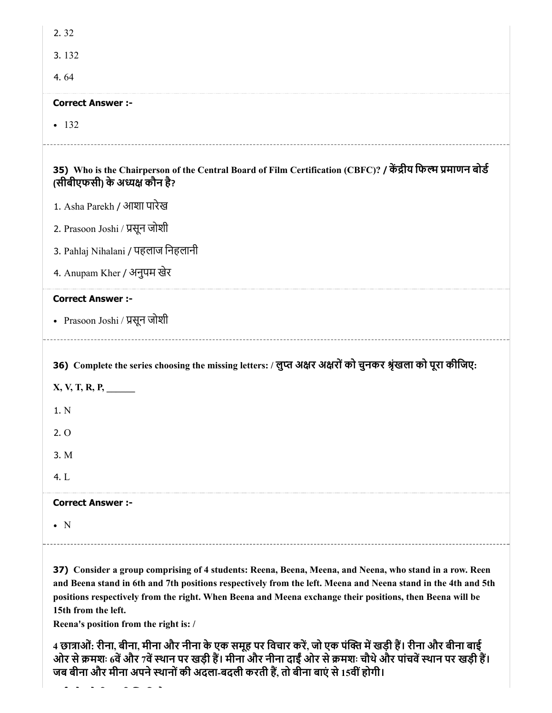| 2.32                                                                                                                                          |
|-----------------------------------------------------------------------------------------------------------------------------------------------|
| 3.132                                                                                                                                         |
| 4.64                                                                                                                                          |
| <b>Correct Answer :-</b>                                                                                                                      |
| $-132$                                                                                                                                        |
| 35) Who is the Chairperson of the Central Board of Film Certification (CBFC)? / केंद्रीय फिल्म प्रमाणन बोर्ड<br>(सीबीएफसी) के अध्यक्ष कौन है? |
| 1. Asha Parekh / आशा पारेख                                                                                                                    |
| 2. Prasoon Joshi / प्रसून जोशी                                                                                                                |
| 3. Pahlaj Nihalani / पहलाज निहलानी                                                                                                            |
| 4. Anupam Kher / अनुपम खेर                                                                                                                    |
|                                                                                                                                               |
| <b>Correct Answer :-</b>                                                                                                                      |
| • Prasoon Joshi / प्रसून जोशी                                                                                                                 |
| 36) Complete the series choosing the missing letters: / लुप्त अक्षर अक्षरों को चुनकर श्रृंखला को पूरा कीजिए:                                  |
| $X, V, T, R, P, \_$<br>1. N                                                                                                                   |
| 2.0                                                                                                                                           |
| 3. M                                                                                                                                          |
| 4. L                                                                                                                                          |
| <b>Correct Answer :-</b>                                                                                                                      |

37) Consider a group comprising of 4 students: Reena, Beena, Meena, and Neena, who stand in a row. Reen and Beena stand in 6th and 7th positions respectively from the left. Meena and Neena stand in the 4th and 5th positions respectively from the right. When Beena and Meena exchange their positions, then Beena will be 15th from the left.

Reena's position from the right is: /

4 छात्राओं: रीना, बीना, मीना और नीना के एक समूह पर विचार करें, जो एक पंक्ति में खड़ी हैं। रीना और बीना बाई ओर से क्रमशः 6वें और 7वें स्थान पर खड़ी हैं। मीना और नीना दाईं ओर से क्रमशः चौथे और पांचवें स्थान पर खड़ी हैं। जब बीना और मीना अपने स्थानों की अदला-बदली करती हैं, तो बीना बाएं से 15वीं होगी।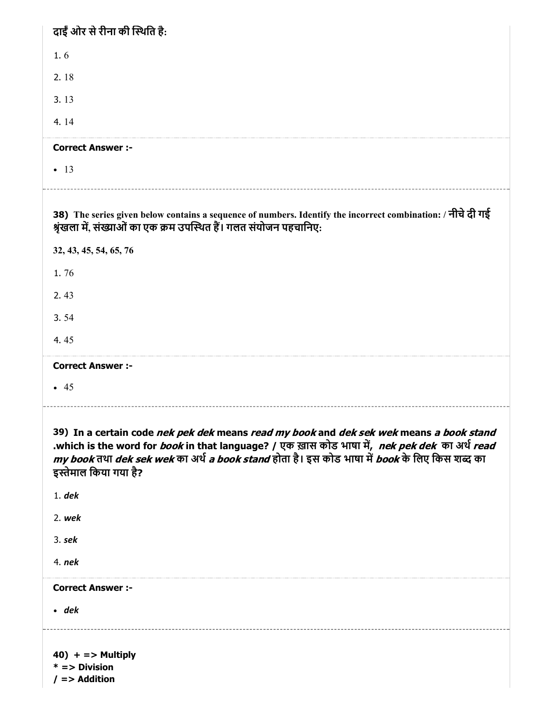| दाईँ ओर से रीना की स्थिति है:                                                                                                                                                                                                                                                                                              |
|----------------------------------------------------------------------------------------------------------------------------------------------------------------------------------------------------------------------------------------------------------------------------------------------------------------------------|
| 1.6                                                                                                                                                                                                                                                                                                                        |
| 2.18                                                                                                                                                                                                                                                                                                                       |
| 3.13                                                                                                                                                                                                                                                                                                                       |
| 4.14                                                                                                                                                                                                                                                                                                                       |
| <b>Correct Answer :-</b>                                                                                                                                                                                                                                                                                                   |
| $-13$                                                                                                                                                                                                                                                                                                                      |
| 38) The series given below contains a sequence of numbers. Identify the incorrect combination: / नीचे दी गई                                                                                                                                                                                                                |
| श्रृंखला में, संख्याओं का एक क्रम उपस्थित हैं। गलत संयोजन पहचानिए:                                                                                                                                                                                                                                                         |
| 32, 43, 45, 54, 65, 76                                                                                                                                                                                                                                                                                                     |
| 1.76                                                                                                                                                                                                                                                                                                                       |
| 2.43                                                                                                                                                                                                                                                                                                                       |
| 3.54                                                                                                                                                                                                                                                                                                                       |
| 4.45                                                                                                                                                                                                                                                                                                                       |
| <b>Correct Answer :-</b>                                                                                                                                                                                                                                                                                                   |
| • 45                                                                                                                                                                                                                                                                                                                       |
|                                                                                                                                                                                                                                                                                                                            |
|                                                                                                                                                                                                                                                                                                                            |
| 39) In a certain code nek pek dek means read my book and dek sek wek means a book stand<br>.which is the word for <i>book</i> in that language? / एक ख़ास कोड भाषा में, nek pek dek का अर्थ read<br>my book तथा dek sek wek का अर्थ a book stand होता है। इस कोड भाषा में book के लिए किस शब्द का<br>इस्तेमाल किया गया है? |
| $1.$ dek                                                                                                                                                                                                                                                                                                                   |
| 2. wek                                                                                                                                                                                                                                                                                                                     |
| $3.$ sek                                                                                                                                                                                                                                                                                                                   |
| $4.$ nek                                                                                                                                                                                                                                                                                                                   |
| <b>Correct Answer :-</b>                                                                                                                                                                                                                                                                                                   |
| $\cdot$ dek                                                                                                                                                                                                                                                                                                                |
|                                                                                                                                                                                                                                                                                                                            |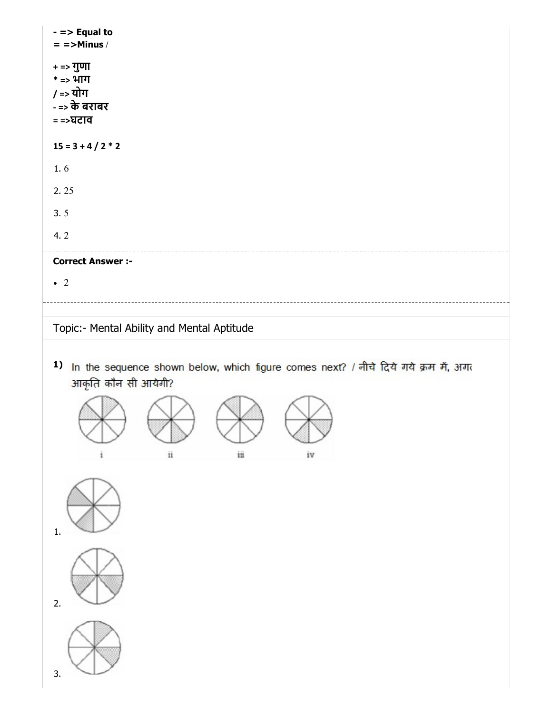| $-$ => Equal to<br>$=$ =>Minus /                                                                                                                                                  |  |
|-----------------------------------------------------------------------------------------------------------------------------------------------------------------------------------|--|
| + => गुणा<br>* => भाग<br>/ => योग<br>- => के बराबर<br>= =>घटाव                                                                                                                    |  |
| $15 = 3 + 4 / 2 * 2$                                                                                                                                                              |  |
| 1.6                                                                                                                                                                               |  |
| 2.25                                                                                                                                                                              |  |
| 3.5                                                                                                                                                                               |  |
| 4.2                                                                                                                                                                               |  |
| <b>Correct Answer :-</b>                                                                                                                                                          |  |
| $\bullet$ 2                                                                                                                                                                       |  |
| Topic:- Mental Ability and Mental Aptitude<br>1)<br>In the sequence shown below, which figure comes next? / नीचे दिये गये क्रम में, अगर<br>आकृति कौन सी आयेगी?<br>iii<br>iv<br>11 |  |
| $\mathbf{1}$ .<br>2.<br>3.                                                                                                                                                        |  |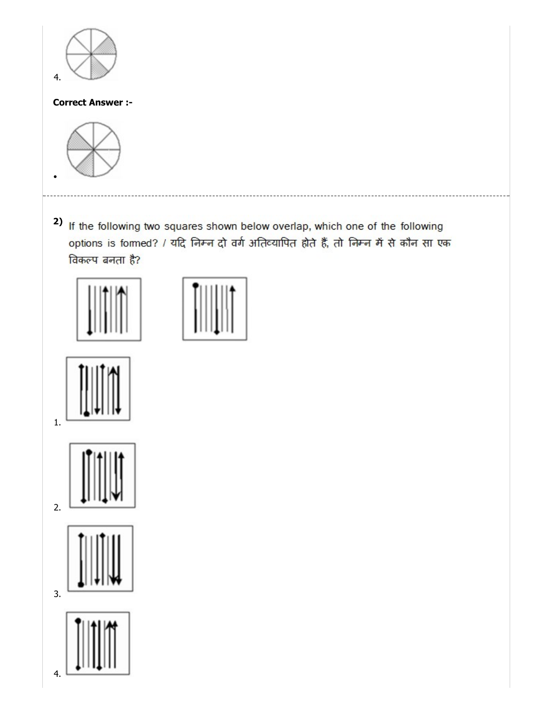

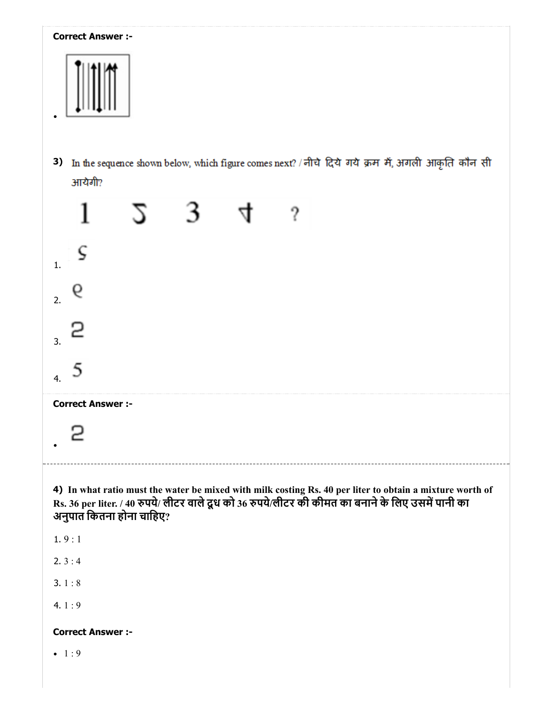# Correct Answer :- 3) In the sequence shown below, which figure comes next? / नीचे दिये गये क्रम में, अगली आकृति कौन सी आयेगी? 1  $5\quad 3$ 4  $\gamma$ ς 1. 9 2. 2 3. 5 4. Correct Answer :- 2 4) In what ratio must the water be mixed with milk costing Rs. 40 per liter to obtain a mixture worth of Rs. 36 per liter. / 40 पये/ लीटर वालेदूध को 36 पये/लीटर की कीमत का बनानेके िलए उसमपानी का अनुपात िकतना होना चािहए? 1. 9 : 1  $2.3:4$ 3. 1 : 8 4.  $1:9$ Correct Answer :-  $-1:9$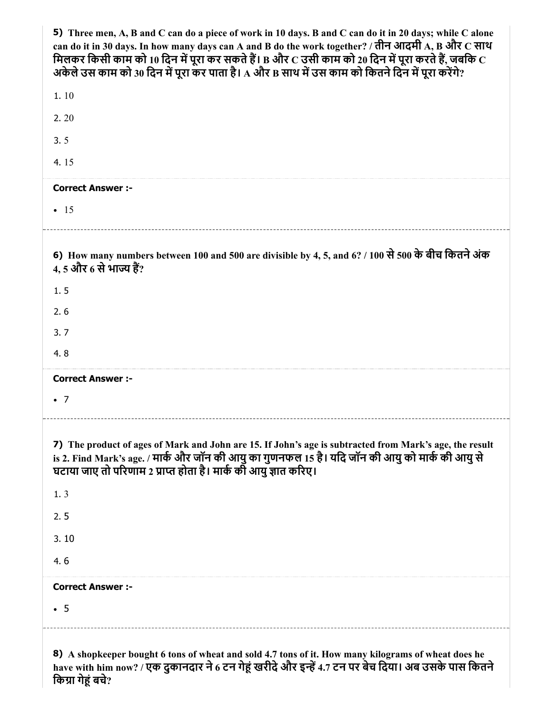| 5) Three men, A, B and C can do a piece of work in 10 days. B and C can do it in 20 days; while C alone<br>can do it in 30 days. In how many days can A and B do the work together? / तीन आदमी A, B और C साथ<br>मिलकर किसी काम को 10 दिन में पूरा कर सकते हैं। B और $\rm c$ उसी काम को 20 दिन में पूरा करते हैं, जबकि $\rm c$<br>अकेले उस काम को 30 दिन में पूरा कर पाता है। A और B साथ में उस काम को कितने दिन में पूरा करेंगे? |
|----------------------------------------------------------------------------------------------------------------------------------------------------------------------------------------------------------------------------------------------------------------------------------------------------------------------------------------------------------------------------------------------------------------------------------|
| 1.10                                                                                                                                                                                                                                                                                                                                                                                                                             |
| 2.20                                                                                                                                                                                                                                                                                                                                                                                                                             |
| 3.5                                                                                                                                                                                                                                                                                                                                                                                                                              |
| 4.15                                                                                                                                                                                                                                                                                                                                                                                                                             |
| <b>Correct Answer :-</b>                                                                                                                                                                                                                                                                                                                                                                                                         |
| $\bullet$ 15                                                                                                                                                                                                                                                                                                                                                                                                                     |
|                                                                                                                                                                                                                                                                                                                                                                                                                                  |
| 6) How many numbers between 100 and 500 are divisible by 4, 5, and 6? / 100 से 500 के बीच कितने अंक<br><u>4, 5 और 6 से भाज्य हैं?</u>                                                                                                                                                                                                                                                                                            |
| 1.5                                                                                                                                                                                                                                                                                                                                                                                                                              |
| 2.6                                                                                                                                                                                                                                                                                                                                                                                                                              |
| 3.7                                                                                                                                                                                                                                                                                                                                                                                                                              |
| 4.8                                                                                                                                                                                                                                                                                                                                                                                                                              |
| <b>Correct Answer :-</b>                                                                                                                                                                                                                                                                                                                                                                                                         |
| $\bullet$ 7                                                                                                                                                                                                                                                                                                                                                                                                                      |
| 7) The product of ages of Mark and John are 15. If John's age is subtracted from Mark's age, the result<br>is 2. Find Mark's age. / मार्क और जॉन की आयु का गुणनफल 15 है। यदि जॉन की आयु को मार्क की आयु से<br>घटाया जाए तो परिणाम 2 प्राप्त होता है। मार्क की आयु ज्ञात करिए।                                                                                                                                                    |
| 1.3                                                                                                                                                                                                                                                                                                                                                                                                                              |
| 2.5                                                                                                                                                                                                                                                                                                                                                                                                                              |
| 3.10                                                                                                                                                                                                                                                                                                                                                                                                                             |
| 4.6                                                                                                                                                                                                                                                                                                                                                                                                                              |
| <b>Correct Answer :-</b>                                                                                                                                                                                                                                                                                                                                                                                                         |
| $\cdot$ 5                                                                                                                                                                                                                                                                                                                                                                                                                        |
|                                                                                                                                                                                                                                                                                                                                                                                                                                  |

8) A shopkeeper bought 6 tons of wheat and sold 4.7 tons of it. How many kilograms of wheat does he have with him now? / एक दुकानदार ने 6 टन गेहू खरीदे और इन्हें 4.7 टन पर बेच दिया। अब उसके पास कितने किग्रा गेहूं बचे?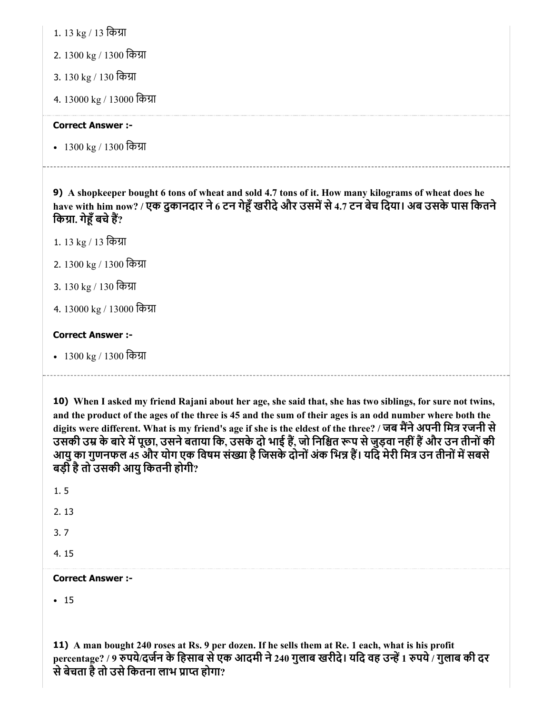1. 13 kg / 13 किग्रा

- 2. 1300 kg / 1300 िका
- 3. 130 kg / 130 किग्रा
- 4. 13000 kg / 13000 िका

## Correct Answer :-

• 1300 kg / 1300 किग्रा

9) A shopkeeper bought 6 tons of wheat and sold 4.7 tons of it. How many kilograms of wheat does he have with him now? / एक दुकानदार ने 6 टन गेहूँ खरीदे और उसमें से 4.7 टन बेच दिया। अब उसके पास कितने किग्रा. गेहँ बचे हैं?

- 1. 13 kg / 13 िका
- 2. 1300 kg / 1300 िका
- 3. 130 kg / 130 किग्रा
- 4. 13000 kg / 13000 िका

## Correct Answer :-

• 1300 kg / 1300 किग्रा

10) When I asked my friend Rajani about her age, she said that, she has two siblings, for sure not twins, and the product of the ages of the three is 45 and the sum of their ages is an odd number where both the digits were different. What is my friend's age if she is the eldest of the three? / जब मैंने अपनी मित्र रजनी से उसकी उम्र के बारे में पूछा, उसने बताया कि, उसके दो भाई हैं, जो निश्चित रूप से जुड़वा नहीं हैं और उन तीनों की आयु का गुणनफल 45 और योग एक विषम संख्या है जिसके दोनों अंक भिन्न हैं। यदि मेरी मित्र उन तीनों में सबसे बड़ी है तो उसकी आयु कितनी होगी?

1. 5

2. 13

3. 7

4. 15

## Correct Answer :-

 $-15$ 

11) A man bought 240 roses at Rs. 9 per dozen. If he sells them at Re. 1 each, what is his profit percentage? / 9 रुपये/दर्जन के हिसाब से एक आदमी ने 240 गुलाब खरीदे। यदि वह उन्हें 1 रुपये / गुलाब की दर से बेचता है तो उसे कितना लाभ प्राप्त होगा?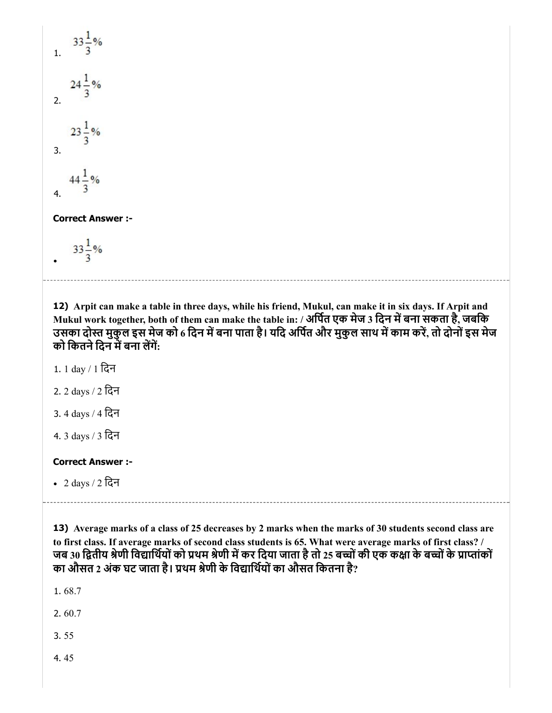1.  $33\frac{1}{3}\%$  $24\frac{1}{3}$ % 2.  $23\frac{1}{3}\%$ 3.  $44\frac{1}{3}\%$ 4.

#### Correct Answer :-

 $33\frac{1}{3}\%$ 

12) Arpit can make a table in three days, while his friend, Mukul, can make it in six days. If Arpit and Mukul work together, both of them can make the table in: / अर्पित एक मेज 3 दिन में बना सकता है, जबकि उसका दोस्त मुकुल इस मेज को 6 दिन में बना पाता है। यदि अर्पित और मुकुल साथ में काम करें, तो दोनों इस मेज को कितने दिन में बना लेंगें:

1. 1 day / 1 िदन

2. 2 days / 2 िदन

3. 4 days / 4 िदन

4. 3 days / 3 िदन

## Correct Answer :-

2 days / 2 िदन

13) Average marks of a class of 25 decreases by 2 marks when the marks of 30 students second class are to first class. If average marks of second class students is 65. What were average marks of first class? / जब 30 द्वितीय श्रेणी विद्यार्थियों को प्रथम श्रेणी में कर दिया जाता है तो 25 बच्चों की एक कक्षा के बच्चों के प्राप्तांकों का औसत 2 अंक घट जाता है। प्रथम श्रेणी के विद्यार्थियों का औसत कितना है?

1. 68.7

2. 60.7

3. 55

4. 45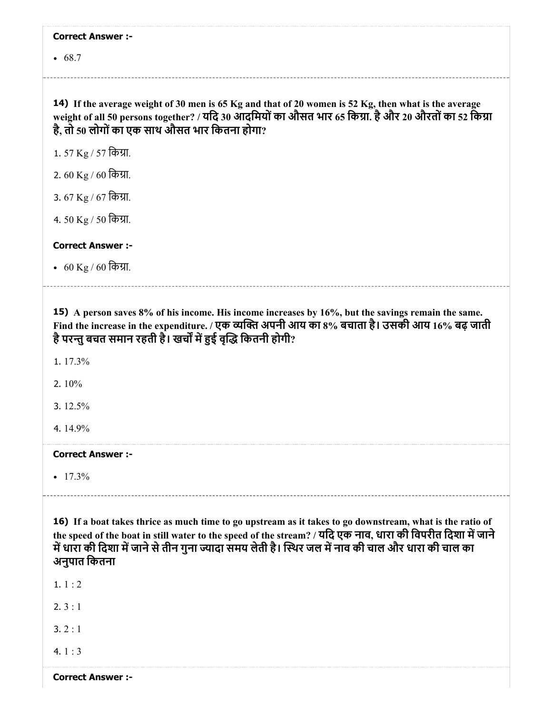|  | <b>Correct Answer :-</b> |  |
|--|--------------------------|--|
|--|--------------------------|--|

• 68.7

14) If the average weight of 30 men is 65 Kg and that of 20 women is 52 Kg, then what is the average weight of all 50 persons together? / यदि 30 आदमियों का औसत भार 65 किग्रा. है और 20 औरतों का 52 किग्रा है, तो 50 लोगोंका एक साथ औसत भार िकतना होगा?

1. 57 Kg / 57 किग्रा.

2. 60 Kg / 60 किग्रा.

3. 67 Kg / 67 कि*प्रा*.

4. 50 Kg / 50 किग्रा.

Correct Answer :-

• 60 Kg / 60 किग्रा.

15) A person saves 8% of his income. His income increases by 16%, but the savings remain the same. Find the increase in the expenditure. / एक व्यक्ति अपनी आय का 8% बचाता है। उसकी आय 16% बढ़ जाती है परन्तु बचत समान रहती है। खर्चों में हुई वृद्धि कितनी होगी?

1. 17.3%

2. 10%

3. 12.5%

4. 14.9%

Correct Answer :-

 $-17.3%$ 

16) If a boat takes thrice as much time to go upstream as it takes to go downstream, what is the ratio of the speed of the boat in still water to the speed of the stream? / यदि एक नाव, धारा की विपरीत दिशा में जाने में धारा की दिशा में जाने से तीन गुना ज्यादा समय लेती है। स्थिर जल में नाव की चाल और धारा की चाल का अनुपात िकतना

1. 1 : 2

2. 3 : 1

 $3.2:1$ 

4.  $1:3$ 

Correct Answer :-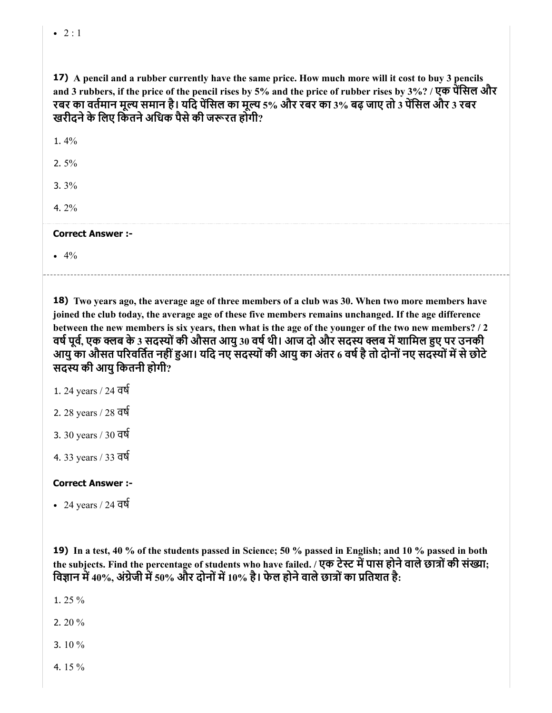$-2:1$ 

| 17) A pencil and a rubber currently have the same price. How much more will it cost to buy 3 pencils<br>and 3 rubbers, if the price of the pencil rises by 5% and the price of rubber rises by 3%? / एक पेंसिल और<br>रबर का वर्तमान मूल्य समान है। यदि पेंसिल का मूल्य 5% और रबर का 3% बढ़ जाए तो 3 पेंसिल और 3 रबर<br>खरीदने के लिए किंतने अधिक पैसे की जरूरत होगी? |
|----------------------------------------------------------------------------------------------------------------------------------------------------------------------------------------------------------------------------------------------------------------------------------------------------------------------------------------------------------------------|
| 1.4%                                                                                                                                                                                                                                                                                                                                                                 |
| 2. $5\%$                                                                                                                                                                                                                                                                                                                                                             |
| $3.3\%$                                                                                                                                                                                                                                                                                                                                                              |
| 4. $2\%$                                                                                                                                                                                                                                                                                                                                                             |
| <b>Correct Answer:-</b>                                                                                                                                                                                                                                                                                                                                              |
| • $4\%$                                                                                                                                                                                                                                                                                                                                                              |
|                                                                                                                                                                                                                                                                                                                                                                      |

18) Two years ago, the average age of three members of a club was 30. When two more members have joined the club today, the average age of these five members remains unchanged. If the age difference between the new members is six years, then what is the age of the younger of the two new members? / 2 वर्ष पूर्व, एक क्लब के 3 सदस्यों की औसत आयु 30 वर्ष थी। आज दो और सदस्य क्लब में शामिल हुए पर उनकी आयु का औसत परिवर्तित नहीं हुआ। यदि नए सदस्यों की आयु का अंतर 6 वर्ष है तो दोनों नए सदस्यों में से छोटे सदस्य की आयु कितनी होगी?

- 1. 24 years / 24 वष
- 2. 28 years / 28 वष
- 3. 30 years / 30 वष
- 4. 33 years / 33 वष

## Correct Answer :-

24 years / 24 वष

19) In a test, 40 % of the students passed in Science; 50 % passed in English; and 10 % passed in both the subjects. Find the percentage of students who have failed. / एक टेस्ट में पास होने वाले छात्रों की संख्या; विज्ञान में 40%, अंग्रेजी में 50% और दोनों में 10% है। फेल होने वाले छात्रों का प्रतिशत है:

1. 25 %

2. 20 %

3. 10 %

4. 15 %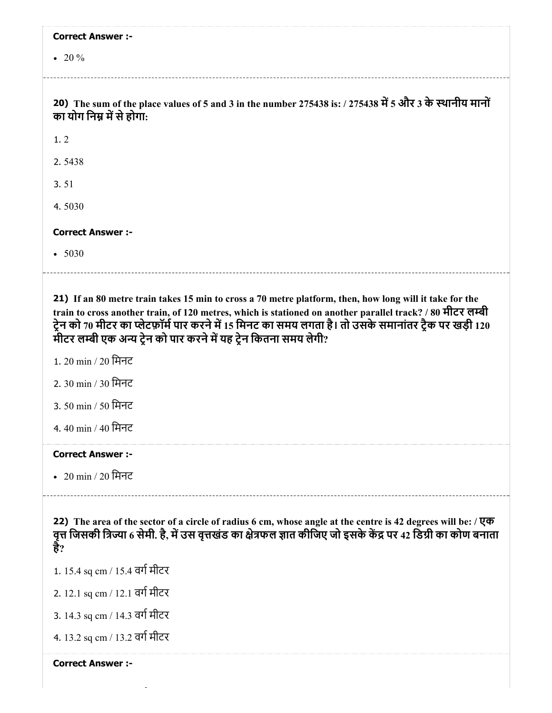| <b>Correct Answer :-</b>                                                                                                                                                                                                                                                                                                                                                                              |  |
|-------------------------------------------------------------------------------------------------------------------------------------------------------------------------------------------------------------------------------------------------------------------------------------------------------------------------------------------------------------------------------------------------------|--|
| • 20 $%$                                                                                                                                                                                                                                                                                                                                                                                              |  |
| 20) The sum of the place values of 5 and 3 in the number 275438 is: / 275438 में 5 और 3 के स्थानीय मानों<br>का योग निम्न में से होगा:                                                                                                                                                                                                                                                                 |  |
| 1.2                                                                                                                                                                                                                                                                                                                                                                                                   |  |
| 2.5438                                                                                                                                                                                                                                                                                                                                                                                                |  |
| 3.51                                                                                                                                                                                                                                                                                                                                                                                                  |  |
| 4.5030                                                                                                                                                                                                                                                                                                                                                                                                |  |
| <b>Correct Answer :-</b>                                                                                                                                                                                                                                                                                                                                                                              |  |
| • 5030                                                                                                                                                                                                                                                                                                                                                                                                |  |
| 21) If an 80 metre train takes 15 min to cross a 70 metre platform, then, how long will it take for the<br>train to cross another train, of 120 metres, which is stationed on another parallel track? / 80 मीटर लम्बी<br>ट्रेन को 70 मीटर का प्लेटफ़ॉर्म पार करने में 15 मिनट का समय लगता है। तो उसके समानांतर ट्रैक पर खड़ी 120<br>मीटर लम्बी एक अन्य ट्रेन को पार करने में यह ट्रेन कितना समय लेगी? |  |
| 1. 20 min / 20 मिनट                                                                                                                                                                                                                                                                                                                                                                                   |  |
| 2. 30 min / 30 मिनट                                                                                                                                                                                                                                                                                                                                                                                   |  |
| 3. 50 min / 50 मिनट                                                                                                                                                                                                                                                                                                                                                                                   |  |
| 4.40 min / 40 मिनट                                                                                                                                                                                                                                                                                                                                                                                    |  |
| <b>Correct Answer:-</b>                                                                                                                                                                                                                                                                                                                                                                               |  |
| • 20 min / 20 मिनट                                                                                                                                                                                                                                                                                                                                                                                    |  |
| 22) The area of the sector of a circle of radius 6 cm, whose angle at the centre is 42 degrees will be: $\sqrt{q\sigma}$<br>वृत्त जिसकी त्रिज्या 6 सेमी. है, में उस वृत्तखंड का क्षेत्रफल ज्ञात कीजिए जो इसके केंद्र पर 42 डिग्री का कोण बनाता<br>हैं?                                                                                                                                                |  |
| 1. 15.4 sq cm / 15.4 वर्ग मीटर                                                                                                                                                                                                                                                                                                                                                                        |  |
| 2. 12.1 sq cm / 12.1 वर्ग मीटर                                                                                                                                                                                                                                                                                                                                                                        |  |
| 3. 14.3 sq cm / 14.3 वर्ग मीटर                                                                                                                                                                                                                                                                                                                                                                        |  |
| 4. 13.2 sq cm / 13.2 वर्ग मीटर                                                                                                                                                                                                                                                                                                                                                                        |  |
| <b>Correct Answer :-</b>                                                                                                                                                                                                                                                                                                                                                                              |  |

 $13.2$  sq cm  $\sim$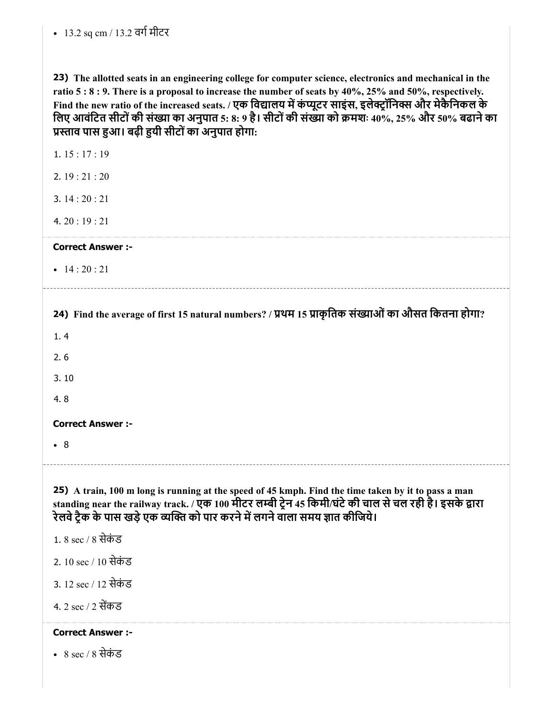| 23) The allotted seats in an engineering college for computer science, electronics and mechanical in the          |
|-------------------------------------------------------------------------------------------------------------------|
| ratio $5:8:9$ . There is a proposal to increase the number of seats by $40\%$ , $25\%$ and $50\%$ , respectively. |
| Find the new ratio of the increased seats. / एक विद्यालय में कंप्यूटर साइंस. इलेक्टॉनिक्स और मेकैनिकल के          |
| लिए आवंटित सीटों की संख्या का अनुपात 5: 8: 9 है। सीटों की संख्या को क्रमशः 40%, 25% और 50% बढाने का               |
| प्रस्ताव पास हुआ। बढ़ी हुयी सीटों का अनुपात होगा:                                                                 |

24) Find the average of first 15 natural numbers? / प्रथम 15 प्राकृतिक संख्याओं का औसत कितना होगा? 25) A train, 100 m long is running at the speed of 45 kmph. Find the time taken by it to pass a man 1. 15 : 17 : 19 2. 19 : 21 : 20 3. 14 : 20 : 21 4. 20 : 19 : 21 Correct Answer :- •  $14:20:21$ 1. 4 2. 6 3. 10 4. 8 Correct Answer :- 8 standing near the railway track. / एक 100 मीटर लम्बी ट्रेन 45 किमी/घंटे की चाल से चल रही है। इसके द्वारा रेलवे ट्रैक के पास खड़े एक व्यक्ति को पार करने में लगने वाला समय ज्ञात कीजिये। 1. 8 sec / 8 सेकंड 2. 10 sec / 10 सेकं ड 3. 12 sec / 12 सेकं ड 4. 2 sec / 2 सकड Correct Answer :-

8 sec / 8 सेकं ड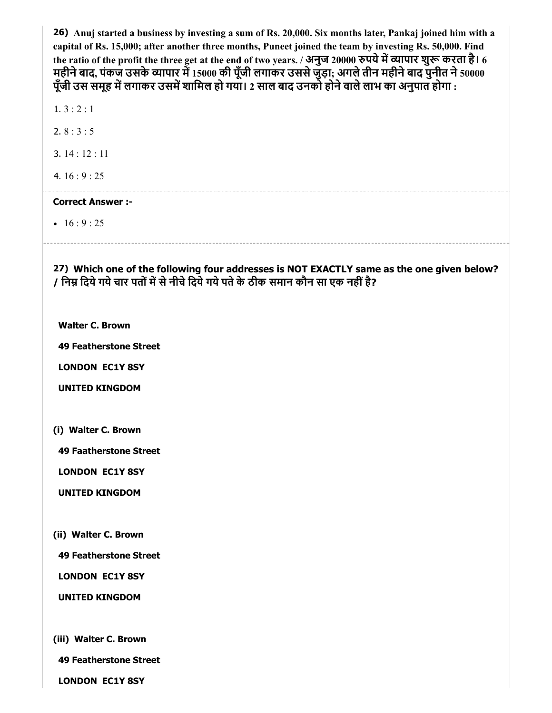26) Anuj started a business by investing a sum of Rs. 20,000. Six months later, Pankaj joined him with a capital of Rs. 15,000; after another three months, Puneet joined the team by investing Rs. 50,000. Find the ratio of the profit the three get at the end of two years. / अनुज 20000 रुपये में व्यापार शुरू करता है। 6 महीने बाद, पंकज उसके व्यापार में 15000 की पूँजी लगाकर उससे जुड़ा; अगले तीन महीने बाद पुनीत ने 50000 पूँजी उस समूह में लगाकर उसमें शामिल हो गया। 2 साल बाद उनको होने वाले लाभ का अनुपात होगा :

1.  $3:2:1$ 

2. 8 : 3 : 5

- 3. 14 : 12 : 11
- 4. 16 : 9 : 25

#### Correct Answer :-

•  $16 : 9 : 25$ 

27) Which one of the following four addresses is NOT EXACTLY same as the one given below? / निम्न दिये गये चार पतों में से नीचे दिये गये पते के ठीक समान कौन सा एक नहीं है?

Walter C. Brown

49 Featherstone Street

LONDON EC1Y 8SY

UNITED KINGDOM

(i) Walter C. Brown

49 Faatherstone Street

LONDON EC1Y 8SY

UNITED KINGDOM

(ii) Walter C. Brown

49 Featherstone Street

LONDON EC1Y 8SY

UNITED KINGDOM

(iii) Walter C. Brown

49 Featherstone Street

LONDON EC1Y 8SY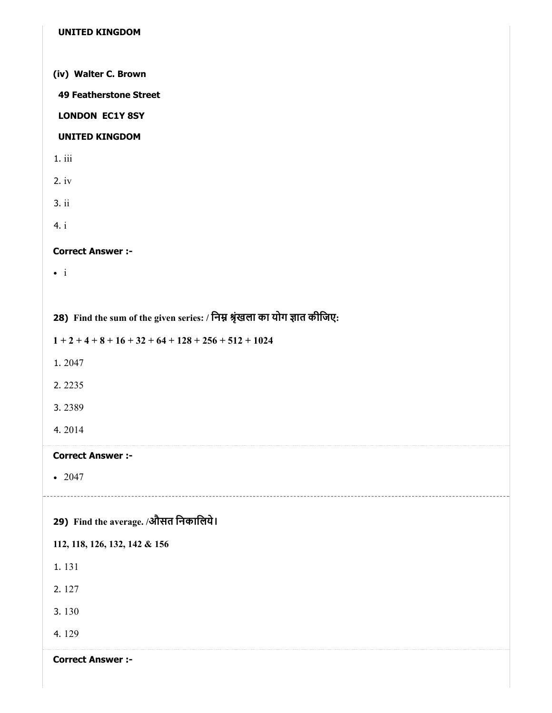| <b>UNITED KINGDOM</b>                                                      |
|----------------------------------------------------------------------------|
| (iv) Walter C. Brown                                                       |
| <b>49 Featherstone Street</b>                                              |
| <b>LONDON EC1Y 8SY</b>                                                     |
| <b>UNITED KINGDOM</b>                                                      |
| 1.iii                                                                      |
| 2.iv                                                                       |
| 3.ii                                                                       |
| 4. i                                                                       |
| <b>Correct Answer :-</b>                                                   |
| $\bullet$ i                                                                |
|                                                                            |
| 28) Find the sum of the given series: / निम्न श्रृंखला का योग ज्ञात कीजिए: |
| $1+2+4+8+16+32+64+128+256+512+1024$                                        |
| 1.2047                                                                     |
| 2.2235                                                                     |

- 3. 2389
- 4. 2014

 $• 2047$ 

| 29) Find the average. /औसत निकालिये। |
|--------------------------------------|
| 112, 118, 126, 132, 142 & 156        |
| 1.131                                |
| 2.127                                |
| 3.130                                |
| 4.129                                |
| <b>Correct Answer:-</b>              |
|                                      |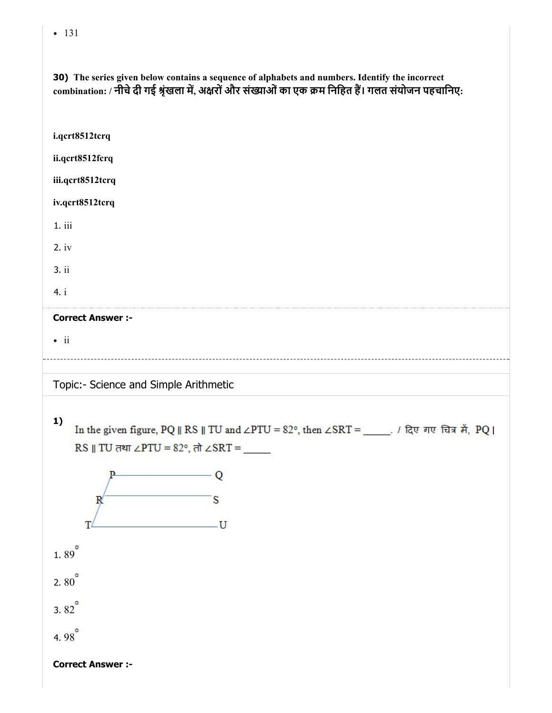• 131

30) The series given below contains a sequence of alphabets and numbers. Identify the incorrect combination: / नीचे दी गई श्रृंखला में, अक्षरों और संख्याओं का एक क्रम निहित हैं। गलत संयोजन पहचानिए: i.qcrt8512tcrq ii.qcrt8512fcrq iii.qcrt8512tcrq iv.qcrt8512tcrq 1. iii 2. iv 3. ii 4. i Correct Answer :-  $\cdot$  ii Topic:- Science and Simple Arithmetic 1) In the given figure, PQ || RS || TU and ∠PTU = 82°, then ∠SRT = \_\_\_\_\_. / दिए गए चित्र में, PQ | RS || TU तथा ∠PTU =  $82^\circ$ , तो ∠SRT = – Q  $\overline{\mathbf{s}}$  $\mathbb{R}$ T  $-U$ 1.89 $^{\circ}$ 2.  $80^{\circ}$ 3.  $82^{\circ}$ 4. 98

Correct Answer :-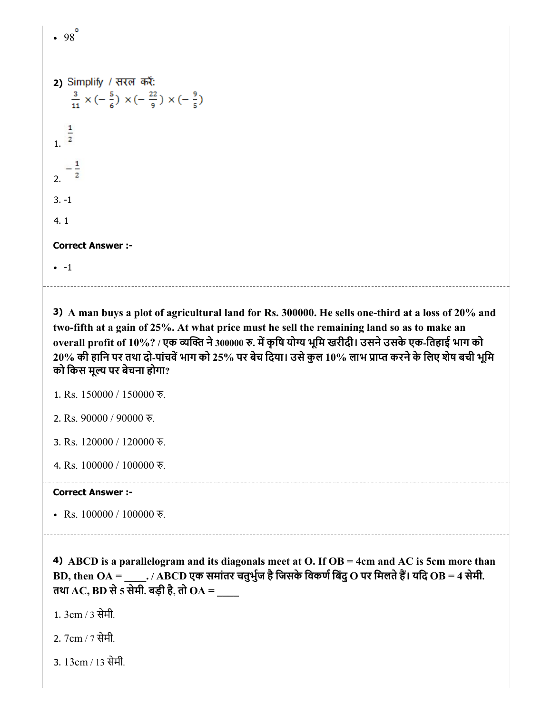```
-98^\circ2) Simplify / सरल करें:
      \frac{3}{11} x (-\frac{5}{6}) x (-\frac{22}{9}) x (-\frac{9}{5})
\frac{1}{2}\mathcal{L}3. -1
 4. 1
Correct Answer :-
 -1
```
3) A man buys a plot of agricultural land for Rs. 300000. He sells one-third at a loss of 20% and two-fifth at a gain of 25%. At what price must he sell the remaining land so as to make an overall profit of 10%? / एक व्यक्ति ने 300000 रु. में कृषि योग्य भूमि खरीदी। उसने उसके एक-तिहाई भाग को  $20\%$  की हानि पर तथा दो-पांचवें भाग को 25% पर बेच दिया। उसे कुल 10% लाभ प्राप्त करने के लिए शेष बची भूमि को िकस मूय पर बेचना होगा?

```
1. Rs. 150000 / 150000 रु.
```
2. Rs. 90000 / 90000 रु.

3. Rs. 120000 / 120000 रु.

4. Rs. 100000 / 100000 रु.

#### Correct Answer :-

• Rs.  $100000 / 100000$  रु.

4) ABCD is a parallelogram and its diagonals meet at O. If OB = 4cm and AC is 5cm more than BD, then  $OA =$  \_\_\_\_\_. / ABCD एक समांतर चतुर्भुज है जिसके विकर्ण बिंदु O पर मिलते हैं। यदि OB = 4 सेमी. तथा AC, BD से 5 सेमी. बड़ी है, तो  $OA =$ 

1. 3cm / 3 सेमी.

2. 7cm / 7 सेमी.

3. 13cm / 13 सेमी.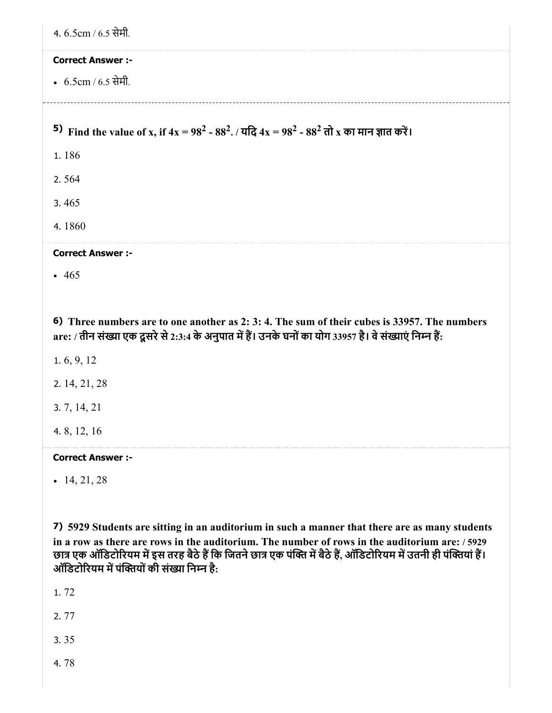| 4. 6.5cm / 6.5 सेमी.                                                                                                                                                                                     |
|----------------------------------------------------------------------------------------------------------------------------------------------------------------------------------------------------------|
| <b>Correct Answer :-</b>                                                                                                                                                                                 |
| • $6.5cm / 6.5$ सेमी.                                                                                                                                                                                    |
|                                                                                                                                                                                                          |
| 5) Find the value of x, if $4x = 98^2 - 88^2$ . / यदि $4x = 98^2 - 88^2$ तो x का मान ज्ञात करें।                                                                                                         |
| 1.186                                                                                                                                                                                                    |
| 2.564                                                                                                                                                                                                    |
| 3.465                                                                                                                                                                                                    |
| 4.1860                                                                                                                                                                                                   |
| <b>Correct Answer :-</b>                                                                                                                                                                                 |
| $-465$                                                                                                                                                                                                   |
|                                                                                                                                                                                                          |
| 6) Three numbers are to one another as 2: 3: 4. The sum of their cubes is 33957. The numbers<br>are: / तीन संख्या एक दूसरे से 2:3:4 के अनुपात में हैं। उनके घनों का योग 33957 है। वे संख्याएं निम्न हैं: |
| 1.6, 9, 12                                                                                                                                                                                               |
| 2. 14, 21, 28                                                                                                                                                                                            |
| 3.7, 14, 21                                                                                                                                                                                              |
| 4.8, 12, 16                                                                                                                                                                                              |
| <b>Correct Answer :-</b>                                                                                                                                                                                 |
| $-14, 21, 28$                                                                                                                                                                                            |

7) 5929 Students are sitting in an auditorium in such a manner that there are as many students in a row as there are rows in the auditorium. The number of rows in the auditorium are: / 5929 छात्र एक ऑडिटोरियम में इस तरह बैठे हैं कि जितने छात्र एक पंक्ति में बैठे हैं, ऑडिटोरियम में उतनी ही पंक्तिया है। ऑडिटोरियम में पंक्तियों की संख्या निम्न है:

1. 72

2. 77

3. 35

4. 78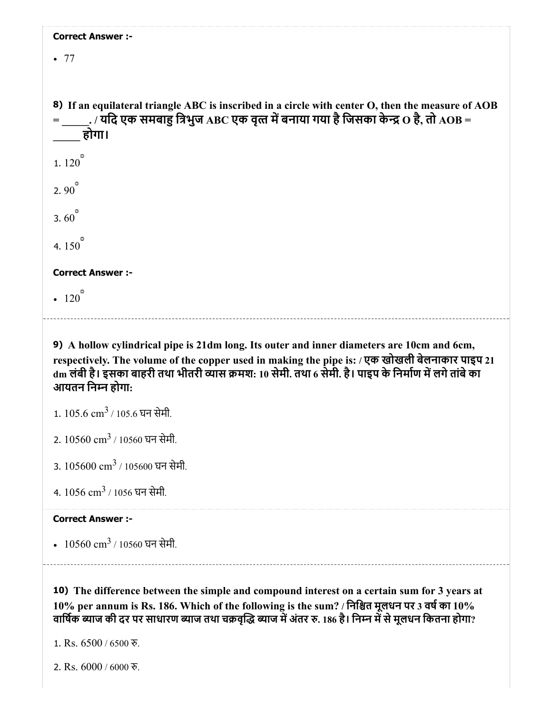| <b>Correct Answer :-</b>                                                                                                                                                                                                      |
|-------------------------------------------------------------------------------------------------------------------------------------------------------------------------------------------------------------------------------|
| .77                                                                                                                                                                                                                           |
|                                                                                                                                                                                                                               |
| 8) If an equilateral triangle ABC is inscribed in a circle with center O, then the measure of AOB<br>= $\,$ $\,$ . / यदि एक समबाहु त्रिभुज $_{\rm ABC}$ एक वृत्त में बनाया गया है जिसका केन्द्र $\rm O$ है, तो $_{\rm AOB}$ = |
| होगा।                                                                                                                                                                                                                         |
| 1. $120^{\circ}$                                                                                                                                                                                                              |
| 2.90 $^{\circ}$                                                                                                                                                                                                               |
| 3.60 $^{\circ}$                                                                                                                                                                                                               |
| 4. $150^{\degree}$                                                                                                                                                                                                            |
| <b>Correct Answer :-</b>                                                                                                                                                                                                      |
| $-120$                                                                                                                                                                                                                        |
|                                                                                                                                                                                                                               |

9) A hollow cylindrical pipe is 21dm long. Its outer and inner diameters are 10cm and 6cm, respectively. The volume of the copper used in making the pipe is: / एक खोखली बेलनाकार पाइप 21  $\,$ dm लंबी है। इसका बाहरी तथा भीतरी व्यास क्रमश: 10 सेमी. तथा 6 सेमी. है। पाइप के निर्माण में लगे तांबे का आयतन िनन होगा:

- $1.105.6 \text{ cm}^3$  /  $105.6 \text{ yr}$  सेमी.
- 2.  $10560 \text{ cm}^3$  / 10560 घन सेमी.
- 3.  $105600 \text{ cm}^3$  /  $105600 \text{ }\overline{\text{q}}$ न सेमी.
- 4.  $1056 \text{ cm}^3$  /  $1056 \text{ }\overline{\text{q}}$ न सेमी.

#### Correct Answer :-

 $10560 \text{ cm}^3$  /  $10560 \text{ }\text{FT}$  सेमी.

10) The difference between the simple and compound interest on a certain sum for 3 years at  $10\%$  per annum is Rs. 186. Which of the following is the sum? / निश्चित मूलधन पर 3 वर्ष का  $10\%$ वार्षिक ब्याज की दर पर साधारण ब्याज तथा चक्रवृद्धि ब्याज में अंतर रु. 186 है। निम्न में से मूलधन कितना होगा?

1. Rs. 6500 / 6500 रु.

2. Rs. 6000 / 6000 रु.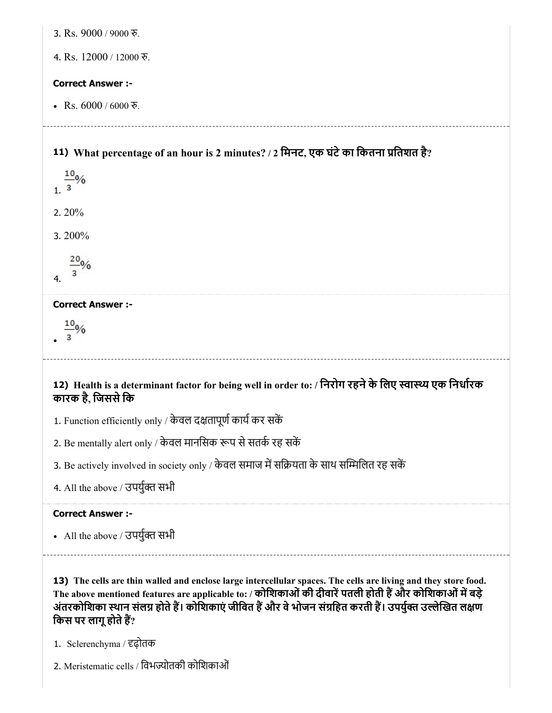| 3. Rs. 9000 / 9000 रु.                                                                                                                                                                                                                                                                                                                                              |
|---------------------------------------------------------------------------------------------------------------------------------------------------------------------------------------------------------------------------------------------------------------------------------------------------------------------------------------------------------------------|
| 4. Rs. 12000 / 12000 रु.                                                                                                                                                                                                                                                                                                                                            |
| <b>Correct Answer :-</b>                                                                                                                                                                                                                                                                                                                                            |
| • Rs. $6000 / 6000$ ই.                                                                                                                                                                                                                                                                                                                                              |
| 11) What percentage of an hour is 2 minutes? / 2 मिनट, एक घंटे का कितना प्रतिशत है?<br>$\frac{10}{3}$ %                                                                                                                                                                                                                                                             |
| 2. $20%$                                                                                                                                                                                                                                                                                                                                                            |
| 3.200%                                                                                                                                                                                                                                                                                                                                                              |
| 4.                                                                                                                                                                                                                                                                                                                                                                  |
| <b>Correct Answer :-</b>                                                                                                                                                                                                                                                                                                                                            |
|                                                                                                                                                                                                                                                                                                                                                                     |
|                                                                                                                                                                                                                                                                                                                                                                     |
| 12) Health is a determinant factor for being well in order to: / निरोग रहने के लिए स्वास्थ्य एक निर्धारक<br>कारक है, जिससे कि                                                                                                                                                                                                                                       |
| 1. Function efficiently only / केवल दक्षतापूर्ण कार्य कर सकें                                                                                                                                                                                                                                                                                                       |
| 2. Be mentally alert only / केवल मानसिक रूप से सतर्क रह सकें                                                                                                                                                                                                                                                                                                        |
| 3. Be actively involved in society only / केवल समाज में सक्रियता के साथ सम्मिलित रह सकें                                                                                                                                                                                                                                                                            |
| 4. All the above / उपर्युक्त सभी                                                                                                                                                                                                                                                                                                                                    |
| <b>Correct Answer :-</b>                                                                                                                                                                                                                                                                                                                                            |
| • All the above / उपर्युक्त सभी                                                                                                                                                                                                                                                                                                                                     |
| 13) The cells are thin walled and enclose large intercellular spaces. The cells are living and they store food.<br>The above mentioned features are applicable to: / कोशिकाओं की दीवारें पतली होती हैं और कोशिकाओं में बड़े<br>अंतरकोशिका स्थान संलग्न होते हैं। कोशिकाएं जीवित हैं और वे भोजन संग्रहित करती हैं। उपर्युक्त उल्लेखित लक्षण<br>किस पर लागू होते हैं? |
| 1. Sclerenchyma / दृढ़ोतक<br>2. Meristematic cells / विभज्योतकी कोशिकाओं                                                                                                                                                                                                                                                                                            |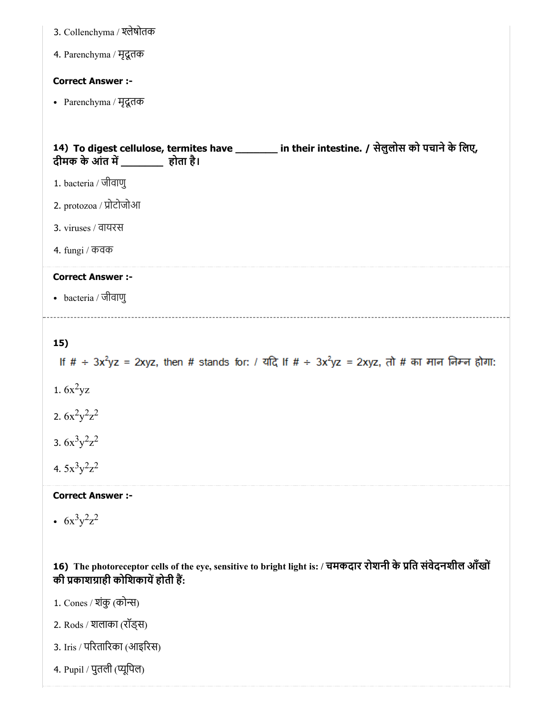| 3. Collenchyma / श्लेषोतक                                                                                                           |
|-------------------------------------------------------------------------------------------------------------------------------------|
| 4. Parenchyma / मृदूतक                                                                                                              |
| <b>Correct Answer :-</b>                                                                                                            |
| • Parenchyma / मृदूतक                                                                                                               |
|                                                                                                                                     |
| 14) To digest cellulose, termites have ________ in their intestine. / सेलुलोस को पचाने के लिए,<br>दीमक के आंत में ________ होता है। |
| 1. bacteria / जीवाणु                                                                                                                |
| 2. protozoa / प्रोटोजोआ                                                                                                             |
| 3. viruses / वायरस                                                                                                                  |
| 4. fungi / कवक                                                                                                                      |
|                                                                                                                                     |
| <b>Correct Answer :-</b>                                                                                                            |
| • bacteria / जीवाणु                                                                                                                 |
|                                                                                                                                     |
| 15)                                                                                                                                 |
| If $\#$ + 3x <sup>2</sup> yz = 2xyz, then # stands for: / यदि If $\#$ + 3x <sup>2</sup> yz = 2xyz, तो # का मान निम्न होगा:          |
| 1. $6x^2yz$                                                                                                                         |
| 2. $6x^2y^2z^2$                                                                                                                     |
|                                                                                                                                     |
| 3. $6x^3y^2z^2$<br>4. $5x^3y^2z^2$                                                                                                  |

 $6x^3y^2z^2$ 

16) The photoreceptor cells of the eye, sensitive to bright light is: / चमकदार रोशनी के प्रति सर्वदनशील आँखों की प्रकाशग्राही कोशिकार्य होती हैं:

1. Cones / शंकु (कोन्स)

2. Rods / शलाका (रॉड्स)

3. Iris / परतारका (आइरस)

4. Pupil / पुतली (यूिपल)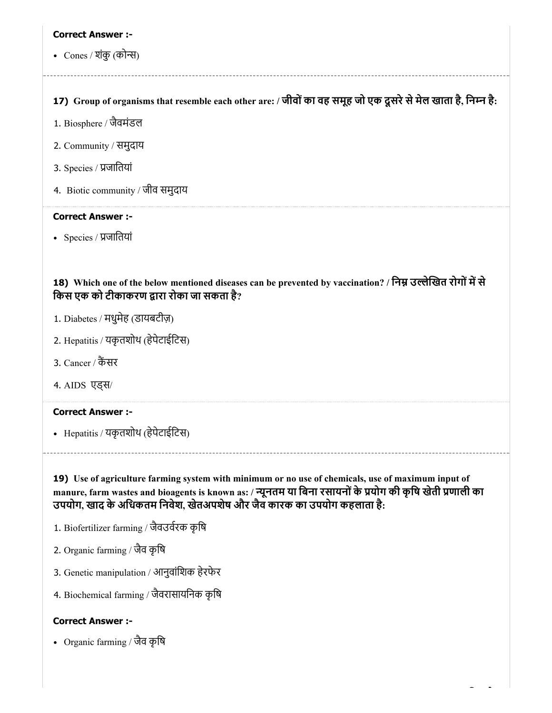• Cones / शंकु (कोन्स)

## 17) Group of organisms that resemble each other are: / जीवों का वह समूह जो एक दूसरे से मेल खाता है, निम्न है:

- 1. Biosphere / जैवमंडल
- 2. Community / समुदाय
- 3. Species / जाितयां
- 4. Biotic community / जीव समुदाय

#### Correct Answer :-

• Species / प्रजातियां

18) Which one of the below mentioned diseases can be prevented by vaccination? / निम्न उल्लेखित रोगों में से किस एक को टीकाकरण द्वारा रोका जा सकता है?

- 1. Diabetes / मधुमेह (डायबटीज़)
- 2. Hepatitis / यकृतशोथ (हेपेटाईिटस)
- 3. Cancer / कैंसर
- 4. AIDS एड्स/

### Correct Answer :-

Hepatitis / यकृतशोथ (हेपेटाईिटस)

19) Use of agriculture farming system with minimum or no use of chemicals, use of maximum input of manure, farm wastes and bioagents is known as: / न्यूनतम या बिना रसायनों के प्रयोग की कृषि खेती प्रणाली का उपयोग, खाद के अिधकतम िनवेश, खेतअपशेष और जैव कारक का उपयोग कहलाता है:

- 1. Biofertilizer farming / जैवउवरक कृिष
- 2. Organic farming / जैव कृिष
- 3. Genetic manipulation / आनुवांशिक हेरफेर
- 4. Biochemical farming / जैवरासायिनक कृिष

#### Correct Answer :-

Organic farming / जैव कृिष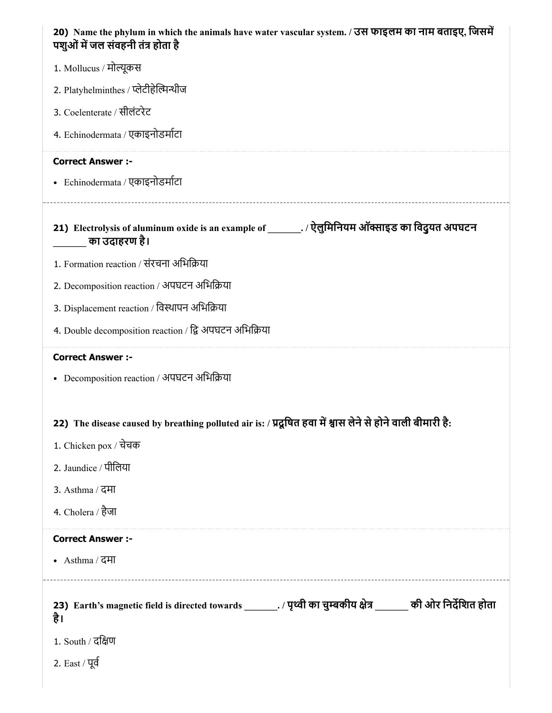| 20) Name the phylum in which the animals have water vascular system. / उस फाइलम का नाम बताइए, जिसमें<br>पशुओं में जल संवहनी तंत्र होता है |
|-------------------------------------------------------------------------------------------------------------------------------------------|
| 1. Mollucus / मोल्यूकस                                                                                                                    |
| 2. Platyhelminthes / प्लेटीहेल्मिन्थीज                                                                                                    |
| 3. Coelenterate / सीलंटरेट                                                                                                                |
| 4. Echinodermata / एकाइनोडर्माटा                                                                                                          |
| <b>Correct Answer :-</b>                                                                                                                  |
| • Echinodermata / एकाइनोडर्माटा                                                                                                           |
| 21) Electrolysis of aluminum oxide is an example of ________. / ऐलुमिनियम ऑक्साइड का विदुयत अपघटन<br>का उदाहरण है।                        |
| 1. Formation reaction / संरचना अभिक्रिया                                                                                                  |
| 2. Decomposition reaction / अपघटन अभिक्रिया                                                                                               |
| 3. Displacement reaction / विस्थापन अभिक्रिया                                                                                             |
| 4. Double decomposition reaction / द्वि अपघटन अभिक्रिया                                                                                   |
|                                                                                                                                           |
| <b>Correct Answer :-</b>                                                                                                                  |
| • Decomposition reaction / अपघटन अभिक्रिया                                                                                                |
|                                                                                                                                           |
| 22) The disease caused by breathing polluted air is: / प्रदूषित हवा में श्वास लेने से होने वाली बीमारी है:                                |
| 1. Chicken pox / चेचक                                                                                                                     |
| 2. Jaundice / पीलिया                                                                                                                      |
| 3. Asthma / दमा                                                                                                                           |
| 4. Cholera / हैजा                                                                                                                         |
| <b>Correct Answer :-</b>                                                                                                                  |
| • Asthma / दमा                                                                                                                            |
| 23) Earth's magnetic field is directed towards _______. / पृथ्वी का चुम्बकीय क्षेत्र ______ की ओर निर्देशित होता<br>है।                   |
| 1. South / दक्षिण                                                                                                                         |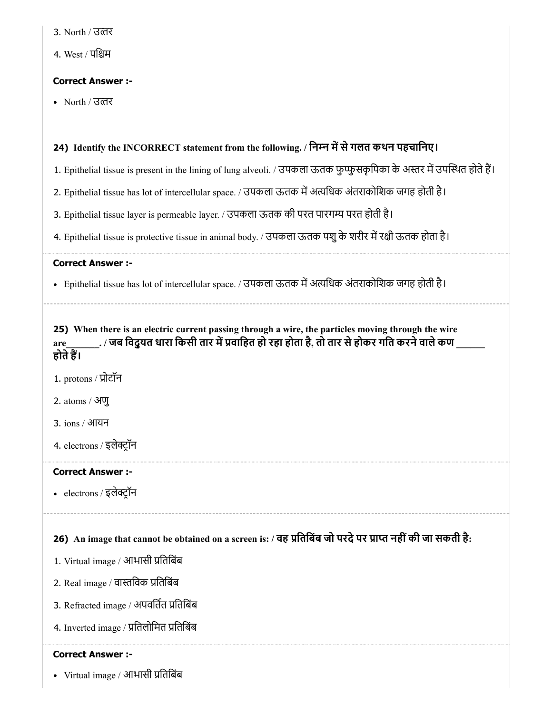4. West / पिम

## Correct Answer :-

North / उतर

## 24) Identify the INCORRECT statement from the following. / निम्न में से गलत कथन पहचानिए।

- 1. Epithelial tissue is present in the lining of lung alveoli. / उपकला ऊतक फुप्फुसकृपिका के अस्तर में उपस्थित होते हैं।
- 2. Epithelial tissue has lot of intercellular space. / उपकला ऊतक में अत्यधिक अंतराकोशिक जगह होती है।
- 3. Epithelial tissue layer is permeable layer. / उपकला ऊतक की परत पारगय परत होती है।
- 4. Epithelial tissue is protective tissue in animal body. / उपकला ऊतक पशु के शरीर में रक्षी ऊतक होता है।

#### Correct Answer :-

• Epithelial tissue has lot of intercellular space. / उपकला ऊतक में अत्यधिक अंतराकोशिक जगह होती है।

25) When there is an electric current passing through a wire, the particles moving through the wire  $_{\rm{are}}$ \_\_\_\_\_\_\_\_. / जब विदुयत धारा किसी तार में प्रवाहित हो रहा होता है, तो तार से होकर गति करने वाले कण \_ होतेह।

1. protons / प्रोटॉन

2. atoms / अणु

3. ions / आयन

4. electrons / इलेटॉन

## Correct Answer :-

electrons / इलेटॉन

## 26) An image that cannot be obtained on a screen is: / वह प्रतिबिब जो परदे पर प्राप्त नहीं की जा सकती है:

- 1. Virtual image / आभासी प्रतिबिंब
- 2. Real image / वास्तविक प्रतिबिंब
- 3. Refracted image / अपवर्तित प्रतिबिंब
- 4. Inverted image / प्रतिलोमित प्रतिबिंब

## Correct Answer :-

Virtual image / आभासी ितिबंब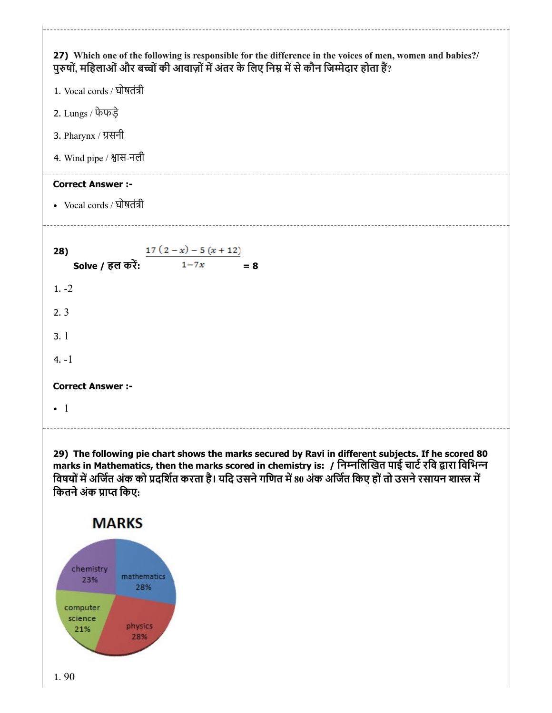

29) The following pie chart shows the marks secured by Ravi in different subjects. If he scored 80 marks in Mathematics, then the marks scored in chemistry is: / निम्नलिखित पाई चार्ट रवि द्वारा विभिन्न विषयों में अर्जित अंक को प्रदर्शित करता है। यदि उसने गणित में 80 अंक अर्जित किए हों तो उसने रसायन शास्त्र में कितने अंक प्राप्त किए: